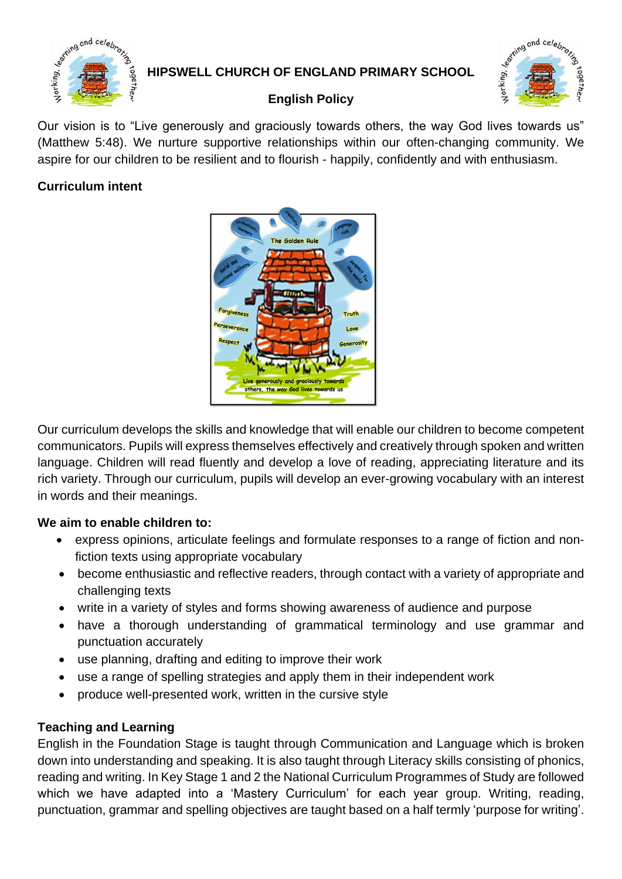

# **HIPSWELL CHURCH OF ENGLAND PRIMARY SCHOOL**



# **English Policy**

Our vision is to "Live generously and graciously towards others, the way God lives towards us" (Matthew 5:48). We nurture supportive relationships within our often-changing community. We aspire for our children to be resilient and to flourish - happily, confidently and with enthusiasm.

#### **Curriculum intent**



Our curriculum develops the skills and knowledge that will enable our children to become competent communicators. Pupils will express themselves effectively and creatively through spoken and written language. Children will read fluently and develop a love of reading, appreciating literature and its rich variety. Through our curriculum, pupils will develop an ever-growing vocabulary with an interest in words and their meanings.

# **We aim to enable children to:**

- express opinions, articulate feelings and formulate responses to a range of fiction and nonfiction texts using appropriate vocabulary
- become enthusiastic and reflective readers, through contact with a variety of appropriate and challenging texts
- write in a variety of styles and forms showing awareness of audience and purpose
- have a thorough understanding of grammatical terminology and use grammar and punctuation accurately
- use planning, drafting and editing to improve their work
- use a range of spelling strategies and apply them in their independent work
- produce well-presented work, written in the cursive style

# **Teaching and Learning**

English in the Foundation Stage is taught through Communication and Language which is broken down into understanding and speaking. It is also taught through Literacy skills consisting of phonics, reading and writing. In Key Stage 1 and 2 the National Curriculum Programmes of Study are followed which we have adapted into a 'Mastery Curriculum' for each year group. Writing, reading, punctuation, grammar and spelling objectives are taught based on a half termly 'purpose for writing'.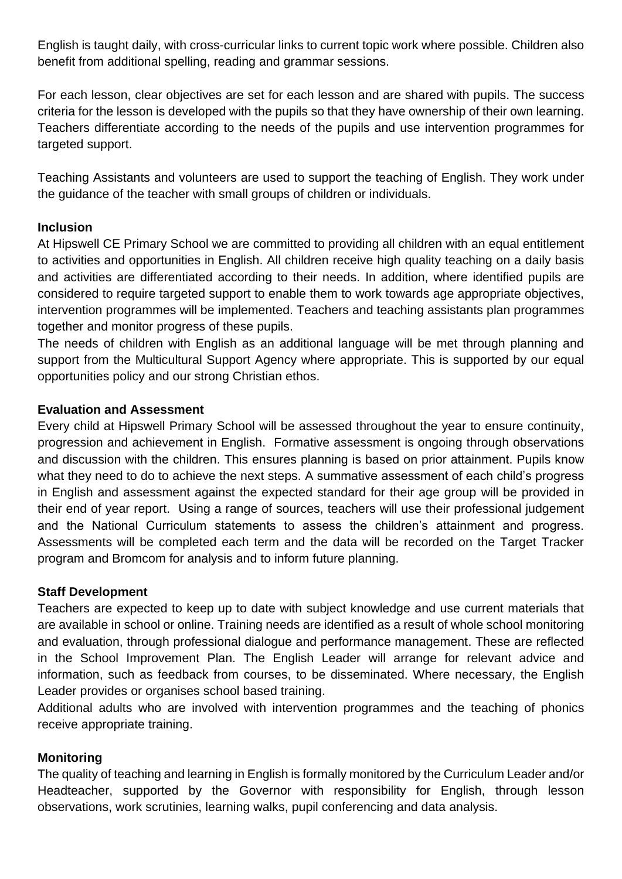English is taught daily, with cross-curricular links to current topic work where possible. Children also benefit from additional spelling, reading and grammar sessions.

For each lesson, clear objectives are set for each lesson and are shared with pupils. The success criteria for the lesson is developed with the pupils so that they have ownership of their own learning. Teachers differentiate according to the needs of the pupils and use intervention programmes for targeted support.

Teaching Assistants and volunteers are used to support the teaching of English. They work under the guidance of the teacher with small groups of children or individuals.

#### **Inclusion**

At Hipswell CE Primary School we are committed to providing all children with an equal entitlement to activities and opportunities in English. All children receive high quality teaching on a daily basis and activities are differentiated according to their needs. In addition, where identified pupils are considered to require targeted support to enable them to work towards age appropriate objectives, intervention programmes will be implemented. Teachers and teaching assistants plan programmes together and monitor progress of these pupils.

The needs of children with English as an additional language will be met through planning and support from the Multicultural Support Agency where appropriate. This is supported by our equal opportunities policy and our strong Christian ethos.

#### **Evaluation and Assessment**

Every child at Hipswell Primary School will be assessed throughout the year to ensure continuity, progression and achievement in English. Formative assessment is ongoing through observations and discussion with the children. This ensures planning is based on prior attainment. Pupils know what they need to do to achieve the next steps. A summative assessment of each child's progress in English and assessment against the expected standard for their age group will be provided in their end of year report. Using a range of sources, teachers will use their professional judgement and the National Curriculum statements to assess the children's attainment and progress. Assessments will be completed each term and the data will be recorded on the Target Tracker program and Bromcom for analysis and to inform future planning.

#### **Staff Development**

Teachers are expected to keep up to date with subject knowledge and use current materials that are available in school or online. Training needs are identified as a result of whole school monitoring and evaluation, through professional dialogue and performance management. These are reflected in the School Improvement Plan. The English Leader will arrange for relevant advice and information, such as feedback from courses, to be disseminated. Where necessary, the English Leader provides or organises school based training.

Additional adults who are involved with intervention programmes and the teaching of phonics receive appropriate training.

#### **Monitoring**

The quality of teaching and learning in English is formally monitored by the Curriculum Leader and/or Headteacher, supported by the Governor with responsibility for English, through lesson observations, work scrutinies, learning walks, pupil conferencing and data analysis.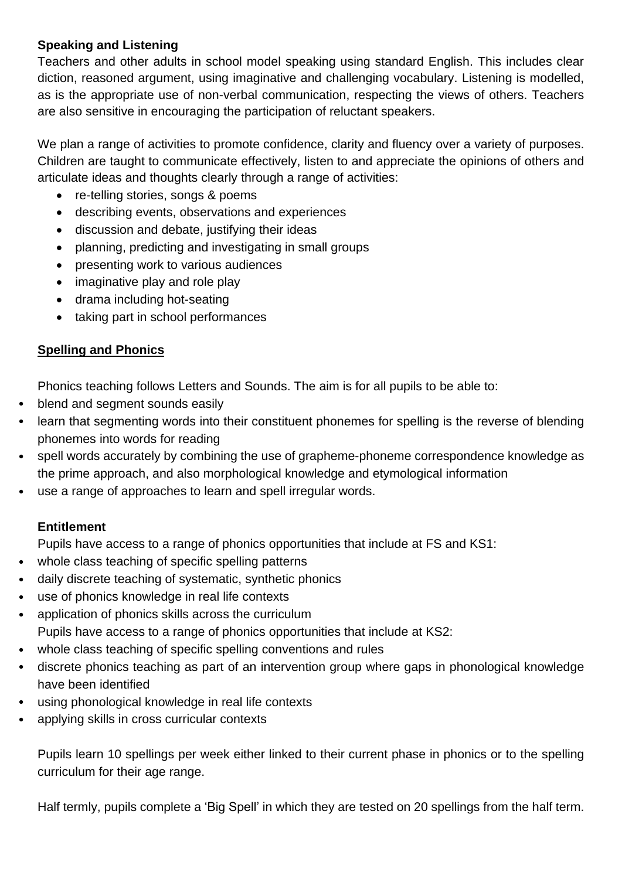#### **Speaking and Listening**

Teachers and other adults in school model speaking using standard English. This includes clear diction, reasoned argument, using imaginative and challenging vocabulary. Listening is modelled, as is the appropriate use of non-verbal communication, respecting the views of others. Teachers are also sensitive in encouraging the participation of reluctant speakers.

We plan a range of activities to promote confidence, clarity and fluency over a variety of purposes. Children are taught to communicate effectively, listen to and appreciate the opinions of others and articulate ideas and thoughts clearly through a range of activities:

- re-telling stories, songs & poems
- describing events, observations and experiences
- discussion and debate, justifying their ideas
- planning, predicting and investigating in small groups
- presenting work to various audiences
- imaginative play and role play
- drama including hot-seating
- taking part in school performances

#### **Spelling and Phonics**

Phonics teaching follows Letters and Sounds. The aim is for all pupils to be able to:

- blend and segment sounds easily
- learn that segmenting words into their constituent phonemes for spelling is the reverse of blending phonemes into words for reading
- spell words accurately by combining the use of grapheme-phoneme correspondence knowledge as the prime approach, and also morphological knowledge and etymological information
- use a range of approaches to learn and spell irregular words.

#### **Entitlement**

Pupils have access to a range of phonics opportunities that include at FS and KS1:

- whole class teaching of specific spelling patterns
- daily discrete teaching of systematic, synthetic phonics
- use of phonics knowledge in real life contexts
- application of phonics skills across the curriculum Pupils have access to a range of phonics opportunities that include at KS2:
- whole class teaching of specific spelling conventions and rules
- discrete phonics teaching as part of an intervention group where gaps in phonological knowledge have been identified
- using phonological knowledge in real life contexts
- applying skills in cross curricular contexts

Pupils learn 10 spellings per week either linked to their current phase in phonics or to the spelling curriculum for their age range.

Half termly, pupils complete a 'Big Spell' in which they are tested on 20 spellings from the half term.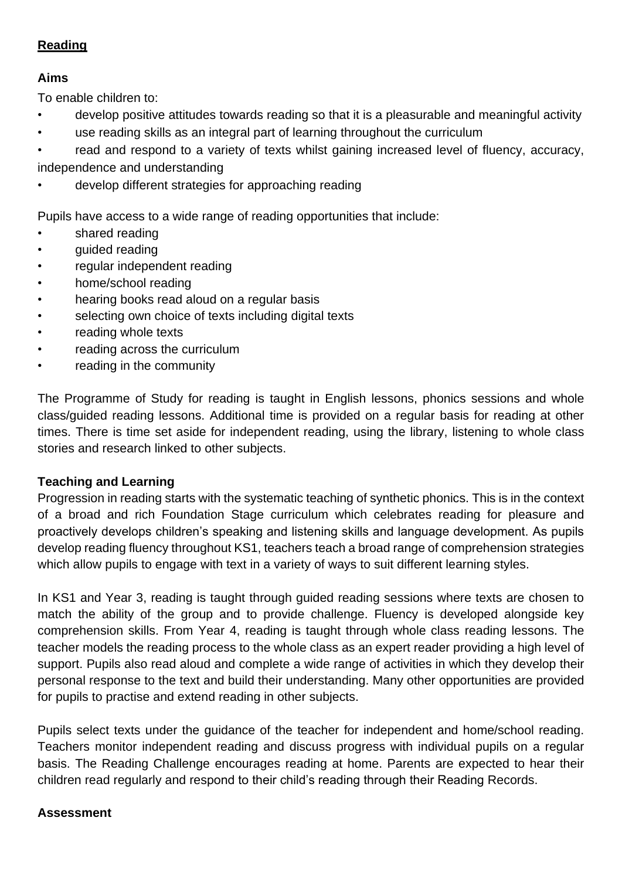# **Reading**

# **Aims**

To enable children to:

- develop positive attitudes towards reading so that it is a pleasurable and meaningful activity
- use reading skills as an integral part of learning throughout the curriculum
- read and respond to a variety of texts whilst gaining increased level of fluency, accuracy, independence and understanding
- develop different strategies for approaching reading

Pupils have access to a wide range of reading opportunities that include:

- shared reading
- guided reading
- regular independent reading
- home/school reading
- hearing books read aloud on a regular basis
- selecting own choice of texts including digital texts
- reading whole texts
- reading across the curriculum
- reading in the community

The Programme of Study for reading is taught in English lessons, phonics sessions and whole class/guided reading lessons. Additional time is provided on a regular basis for reading at other times. There is time set aside for independent reading, using the library, listening to whole class stories and research linked to other subjects.

# **Teaching and Learning**

Progression in reading starts with the systematic teaching of synthetic phonics. This is in the context of a broad and rich Foundation Stage curriculum which celebrates reading for pleasure and proactively develops children's speaking and listening skills and language development. As pupils develop reading fluency throughout KS1, teachers teach a broad range of comprehension strategies which allow pupils to engage with text in a variety of ways to suit different learning styles.

In KS1 and Year 3, reading is taught through guided reading sessions where texts are chosen to match the ability of the group and to provide challenge. Fluency is developed alongside key comprehension skills. From Year 4, reading is taught through whole class reading lessons. The teacher models the reading process to the whole class as an expert reader providing a high level of support. Pupils also read aloud and complete a wide range of activities in which they develop their personal response to the text and build their understanding. Many other opportunities are provided for pupils to practise and extend reading in other subjects.

Pupils select texts under the guidance of the teacher for independent and home/school reading. Teachers monitor independent reading and discuss progress with individual pupils on a regular basis. The Reading Challenge encourages reading at home. Parents are expected to hear their children read regularly and respond to their child's reading through their Reading Records.

#### **Assessment**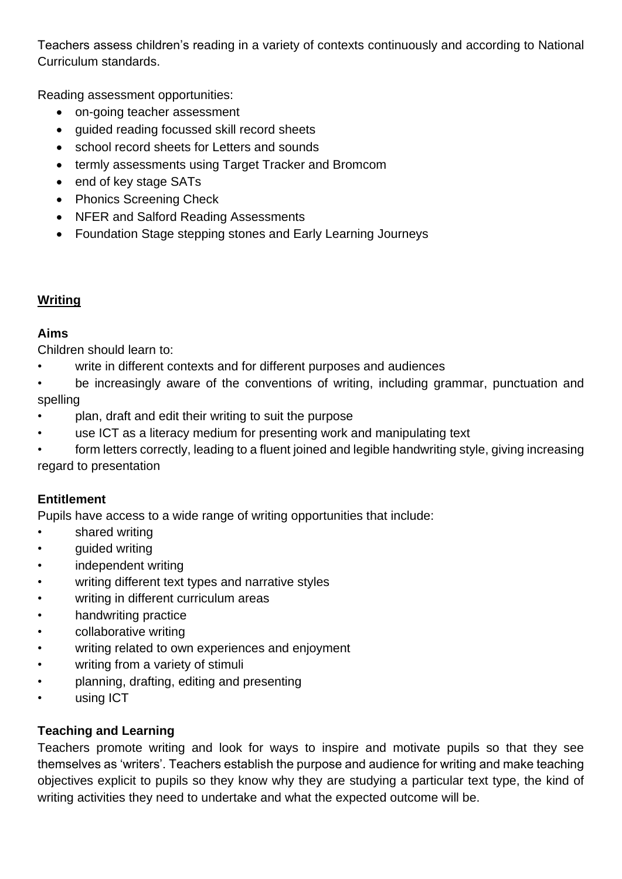Teachers assess children's reading in a variety of contexts continuously and according to National Curriculum standards.

Reading assessment opportunities:

- on-going teacher assessment
- guided reading focussed skill record sheets
- school record sheets for Letters and sounds
- termly assessments using Target Tracker and Bromcom
- end of key stage SATs
- Phonics Screening Check
- NFER and Salford Reading Assessments
- Foundation Stage stepping stones and Early Learning Journeys

# **Writing**

#### **Aims**

Children should learn to:

- write in different contexts and for different purposes and audiences
- be increasingly aware of the conventions of writing, including grammar, punctuation and spelling
- plan, draft and edit their writing to suit the purpose
- use ICT as a literacy medium for presenting work and manipulating text
- form letters correctly, leading to a fluent joined and legible handwriting style, giving increasing regard to presentation

# **Entitlement**

Pupils have access to a wide range of writing opportunities that include:

- shared writing
- guided writing
- independent writing
- writing different text types and narrative styles
- writing in different curriculum areas
- handwriting practice
- collaborative writing
- writing related to own experiences and enjoyment
- writing from a variety of stimuli
- planning, drafting, editing and presenting
- using ICT

# **Teaching and Learning**

Teachers promote writing and look for ways to inspire and motivate pupils so that they see themselves as 'writers'. Teachers establish the purpose and audience for writing and make teaching objectives explicit to pupils so they know why they are studying a particular text type, the kind of writing activities they need to undertake and what the expected outcome will be.